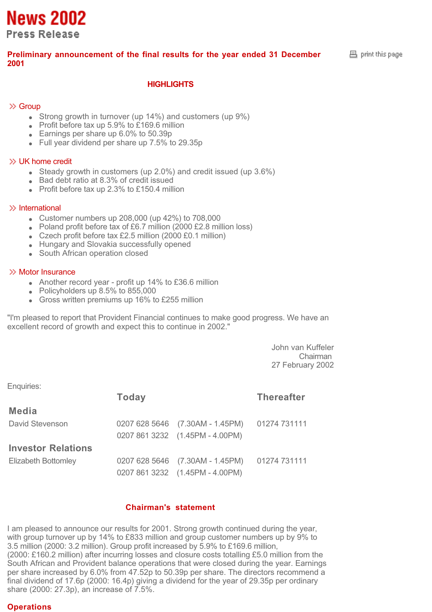**News 2002 Press Release** 

# **Preliminary announcement of the final results for the year ended 31 December 2001**

# **HIGHLIGHTS**

# $\gg$  Group

- Strong growth in turnover (up 14%) and customers (up 9%)
- $\bullet$  Profit before tax up 5.9% to £169.6 million
- Earnings per share up 6.0% to 50.39p
- Full year dividend per share up 7.5% to 29.35p

#### UK home credit

- Steady growth in customers (up 2.0%) and credit issued (up 3.6%)
- Bad debt ratio at 8.3% of credit issued
- $\bullet$  Profit before tax up 2.3% to £150.4 million

#### $\gg$  International

- Customer numbers up  $208,000$  (up  $42\%$ ) to  $708,000$
- Poland profit before tax of £6.7 million (2000 £2.8 million loss)
- Czech profit before tax £2.5 million (2000 £0.1 million)
- Hungary and Slovakia successfully opened
- South African operation closed

#### $\gg$  Motor Insurance

- Another record year profit up 14% to £36.6 million
- Policyholders up 8.5% to 855,000
- Gross written premiums up 16% to £255 million

"I'm pleased to report that Provident Financial continues to make good progress. We have an excellent record of growth and expect this to continue in 2002."

> John van Kuffeler Chairman 27 February 2002

Enquiries:

|                           | <b>Today</b> | <b>Thereafter</b>               |              |
|---------------------------|--------------|---------------------------------|--------------|
| <b>Media</b>              |              |                                 |              |
| David Stevenson           |              | 0207 628 5646 (7.30AM - 1.45PM) | 01274 731111 |
|                           |              | 0207 861 3232 (1.45PM - 4.00PM) |              |
| <b>Investor Relations</b> |              |                                 |              |
| Elizabeth Bottomley       |              | 0207 628 5646 (7.30AM - 1.45PM) | 01274 731111 |
|                           |              | 0207 861 3232 (1.45PM - 4.00PM) |              |

## **Chairman's statement**

I am pleased to announce our results for 2001. Strong growth continued during the year, with group turnover up by 14% to £833 million and group customer numbers up by 9% to 3.5 million (2000: 3.2 million). Group profit increased by 5.9% to £169.6 million, (2000: £160.2 million) after incurring losses and closure costs totalling £5.0 million from the South African and Provident balance operations that were closed during the year. Earnings per share increased by 6.0% from 47.52p to 50.39p per share. The directors recommend a final dividend of 17.6p (2000: 16.4p) giving a dividend for the year of 29.35p per ordinary share (2000: 27.3p), an increase of 7.5%.

# **Operations**

 $B$  print this page.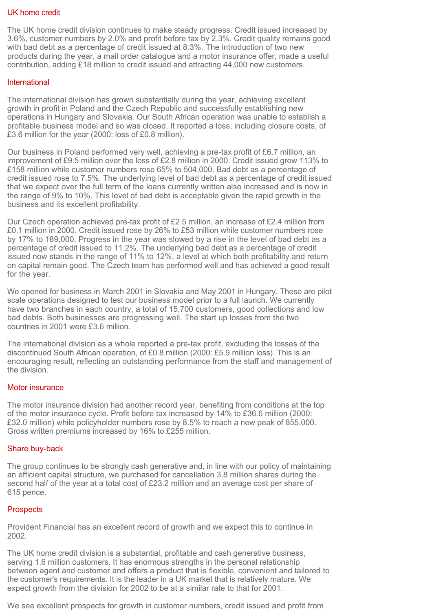#### UK home credit

The UK home credit division continues to make steady progress. Credit issued increased by 3.6%, customer numbers by 2.0% and profit before tax by 2.3%. Credit quality remains good with bad debt as a percentage of credit issued at 8.3%. The introduction of two new products during the year, a mail order catalogue and a motor insurance offer, made a useful contribution, adding £18 million to credit issued and attracting 44,000 new customers.

## International

The international division has grown substantially during the year, achieving excellent growth in profit in Poland and the Czech Republic and successfully establishing new operations in Hungary and Slovakia. Our South African operation was unable to establish a profitable business model and so was closed. It reported a loss, including closure costs, of £3.6 million for the year (2000: loss of £0.8 million).

Our business in Poland performed very well, achieving a pre-tax profit of £6.7 million, an improvement of £9.5 million over the loss of £2.8 million in 2000. Credit issued grew 113% to £158 million while customer numbers rose 65% to 504,000. Bad debt as a percentage of credit issued rose to 7.5%. The underlying level of bad debt as a percentage of credit issued that we expect over the full term of the loans currently written also increased and is now in the range of 9% to 10%. This level of bad debt is acceptable given the rapid growth in the business and its excellent profitability.

Our Czech operation achieved pre-tax profit of £2.5 million, an increase of £2.4 million from £0.1 million in 2000. Credit issued rose by 26% to £53 million while customer numbers rose by 17% to 189,000. Progress in the year was slowed by a rise in the level of bad debt as a percentage of credit issued to 11.2%. The underlying bad debt as a percentage of credit issued now stands in the range of 11% to 12%, a level at which both profitability and return on capital remain good. The Czech team has performed well and has achieved a good result for the year.

We opened for business in March 2001 in Slovakia and May 2001 in Hungary. These are pilot scale operations designed to test our business model prior to a full launch. We currently have two branches in each country, a total of 15,700 customers, good collections and low bad debts. Both businesses are progressing well. The start up losses from the two countries in 2001 were £3.6 million.

The international division as a whole reported a pre-tax profit, excluding the losses of the discontinued South African operation, of £0.8 million (2000: £5.9 million loss). This is an encouraging result, reflecting an outstanding performance from the staff and management of the division.

## Motor insurance

The motor insurance division had another record year, benefiting from conditions at the top of the motor insurance cycle. Profit before tax increased by 14% to £36.6 million (2000: £32.0 million) while policyholder numbers rose by 8.5% to reach a new peak of 855,000. Gross written premiums increased by 16% to £255 million.

## Share buy-back

The group continues to be strongly cash generative and, in line with our policy of maintaining an efficient capital structure, we purchased for cancellation 3.8 million shares during the second half of the year at a total cost of £23.2 million and an average cost per share of 615 pence.

## **Prospects**

Provident Financial has an excellent record of growth and we expect this to continue in 2002.

The UK home credit division is a substantial, profitable and cash generative business, serving 1.6 million customers. It has enormous strengths in the personal relationship between agent and customer and offers a product that is flexible, convenient and tailored to the customer's requirements. It is the leader in a UK market that is relatively mature. We expect growth from the division for 2002 to be at a similar rate to that for 2001.

We see excellent prospects for growth in customer numbers, credit issued and profit from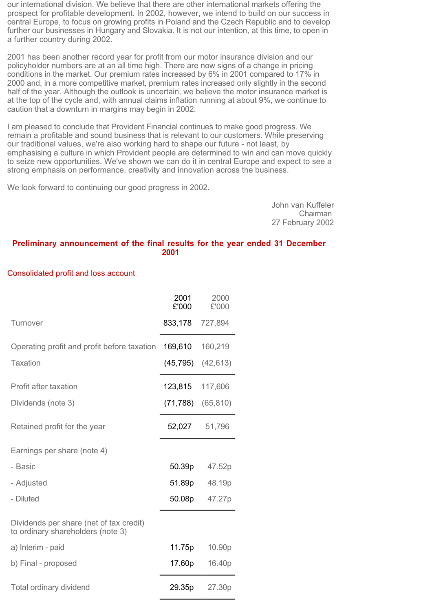our international division. We believe that there are other international markets offering the prospect for profitable development. In 2002, however, we intend to build on our success in central Europe, to focus on growing profits in Poland and the Czech Republic and to develop further our businesses in Hungary and Slovakia. It is not our intention, at this time, to open in a further country during 2002.

2001 has been another record year for profit from our motor insurance division and our policyholder numbers are at an all time high. There are now signs of a change in pricing conditions in the market. Our premium rates increased by 6% in 2001 compared to 17% in 2000 and, in a more competitive market, premium rates increased only slightly in the second half of the year. Although the outlook is uncertain, we believe the motor insurance market is at the top of the cycle and, with annual claims inflation running at about 9%, we continue to caution that a downturn in margins may begin in 2002.

I am pleased to conclude that Provident Financial continues to make good progress. We remain a profitable and sound business that is relevant to our customers. While preserving our traditional values, we're also working hard to shape our future - not least, by emphasising a culture in which Provident people are determined to win and can move quickly to seize new opportunities. We've shown we can do it in central Europe and expect to see a strong emphasis on performance, creativity and innovation across the business.

We look forward to continuing our good progress in 2002.

John van Kuffeler Chairman 27 February 2002

#### **Preliminary announcement of the final results for the year ended 31 December 2001**

#### Consolidated profit and loss account

|                                                                              | 2001<br>£'000 | 2000<br>£'000 |
|------------------------------------------------------------------------------|---------------|---------------|
| <b>Turnover</b>                                                              | 833,178       | 727,894       |
| Operating profit and profit before taxation                                  | 169,610       | 160,219       |
| <b>Taxation</b>                                                              | (45, 795)     | (42, 613)     |
| <b>Profit after taxation</b>                                                 | 123,815       | 117,606       |
| Dividends (note 3)                                                           | (71, 788)     | (65, 810)     |
| Retained profit for the year                                                 | 52,027        | 51,796        |
| Earnings per share (note 4)                                                  |               |               |
| - Basic                                                                      | 50.39p        | 47.52p        |
| - Adjusted                                                                   | 51.89p        | 48.19p        |
| - Diluted                                                                    | 50.08p        | 47.27p        |
| Dividends per share (net of tax credit)<br>to ordinary shareholders (note 3) |               |               |
| a) Interim - paid                                                            | 11.75p        | 10.90p        |
| b) Final - proposed                                                          | 17.60p        | 16.40p        |
| Total ordinary dividend                                                      | 29.35p        | 27.30p        |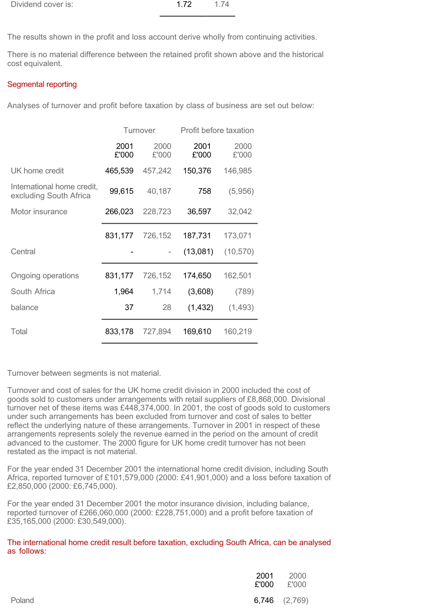| Dividend cover is: | 1.72 | 1.74 |
|--------------------|------|------|
|                    |      |      |

The results shown in the profit and loss account derive wholly from continuing activities.

There is no material difference between the retained profit shown above and the historical cost equivalent.

# Segmental reporting

Analyses of turnover and profit before taxation by class of business are set out below:

|                                                      | Turnover      |               | Profit before taxation |               |
|------------------------------------------------------|---------------|---------------|------------------------|---------------|
|                                                      | 2001<br>£'000 | 2000<br>£'000 | 2001<br>£'000          | 2000<br>£'000 |
| UK home credit                                       | 465,539       | 457,242       | 150,376                | 146,985       |
| International home credit,<br>excluding South Africa | 99,615        | 40,187        | 758                    | (5,956)       |
| Motor insurance                                      | 266,023       | 228,723       | 36,597                 | 32,042        |
|                                                      | 831,177       | 726,152       | 187,731                | 173,071       |
| Central                                              |               |               | (13,081)               | (10, 570)     |
| Ongoing operations                                   | 831,177       | 726,152       | 174,650                | 162,501       |
| South Africa                                         | 1,964         | 1,714         | (3,608)                | (789)         |
| balance                                              | 37            | 28            | (1, 432)               | (1,493)       |
| Total                                                | 833,178       | 727,894       | 169,610                | 160,219       |

Turnover between segments is not material.

Turnover and cost of sales for the UK home credit division in 2000 included the cost of goods sold to customers under arrangements with retail suppliers of £8,868,000. Divisional turnover net of these items was £448,374,000. In 2001, the cost of goods sold to customers under such arrangements has been excluded from turnover and cost of sales to better reflect the underlying nature of these arrangements. Turnover in 2001 in respect of these arrangements represents solely the revenue earned in the period on the amount of credit advanced to the customer. The 2000 figure for UK home credit turnover has not been restated as the impact is not material.

For the year ended 31 December 2001 the international home credit division, including South Africa, reported turnover of £101,579,000 (2000: £41,901,000) and a loss before taxation of £2,850,000 (2000: £6,745,000).

For the year ended 31 December 2001 the motor insurance division, including balance, reported turnover of £266,060,000 (2000: £228,751,000) and a profit before taxation of £35,165,000 (2000: £30,549,000).

# The international home credit result before taxation, excluding South Africa, can be analysed as follows:

| 2001   | 2000<br>$£'000$ $£'000$ |
|--------|-------------------------|
| Poland | 6,746 (2,769)           |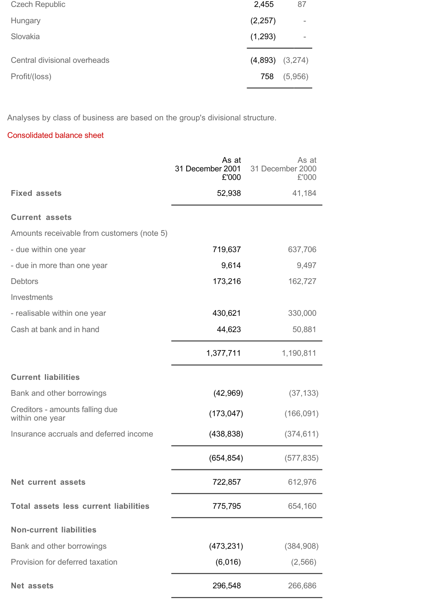| <b>Czech Republic</b>        | 2,455               | 87       |
|------------------------------|---------------------|----------|
| Hungary                      | (2,257)             | $\equiv$ |
| Slovakia                     | (1,293)             |          |
| Central divisional overheads | $(4,893)$ $(3,274)$ |          |
| Profit/(loss)                | 758                 | (5,956)  |

Analyses by class of business are based on the group's divisional structure.

# Consolidated balance sheet

|                                                    | As at<br>31 December 2001<br>£'000 | As at<br>31 December 2000<br>£'000 |
|----------------------------------------------------|------------------------------------|------------------------------------|
| <b>Fixed assets</b>                                | 52,938                             | 41,184                             |
| <b>Current assets</b>                              |                                    |                                    |
| Amounts receivable from customers (note 5)         |                                    |                                    |
| - due within one year                              | 719,637                            | 637,706                            |
| - due in more than one year                        | 9,614                              | 9,497                              |
| <b>Debtors</b>                                     | 173,216                            | 162,727                            |
| Investments                                        |                                    |                                    |
| - realisable within one year                       | 430,621                            | 330,000                            |
| Cash at bank and in hand                           | 44,623                             | 50,881                             |
|                                                    | 1,377,711                          | 1,190,811                          |
| <b>Current liabilities</b>                         |                                    |                                    |
| Bank and other borrowings                          | (42, 969)                          | (37, 133)                          |
| Creditors - amounts falling due<br>within one year | (173, 047)                         | (166, 091)                         |
| Insurance accruals and deferred income             | (438, 838)                         | (374, 611)                         |
|                                                    | (654, 854)                         | (577, 835)                         |
| <b>Net current assets</b>                          | 722,857                            | 612,976                            |
| <b>Total assets less current liabilities</b>       | 775,795                            | 654,160                            |
| <b>Non-current liabilities</b>                     |                                    |                                    |
| Bank and other borrowings                          | (473, 231)                         | (384,908)                          |
| Provision for deferred taxation                    | (6,016)                            | (2, 566)                           |
| <b>Net assets</b>                                  | 296,548                            | 266,686                            |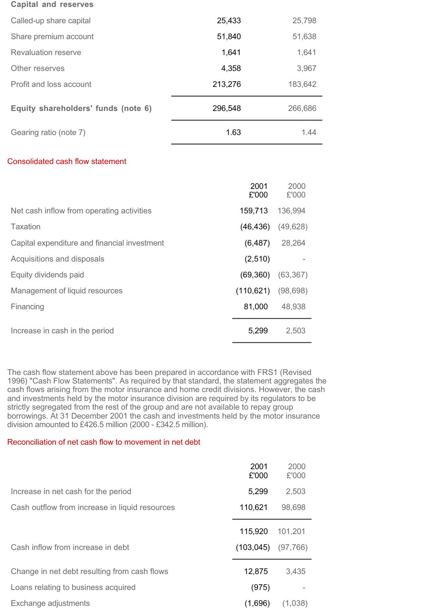| Called-up share capital                 | 25,433  | 25,798  |
|-----------------------------------------|---------|---------|
| Share premium account                   | 51,840  | 51,638  |
| Revaluation reserve                     | 1,641   | 1,641   |
| Other reserves                          | 4,358   | 3,967   |
| Profit and loss account                 | 213,276 | 183,642 |
| Equity shareholders' funds (note 6)     | 296,548 | 266,686 |
| Gearing ratio (note 7)                  | 1.63    | 1.44    |
| <b>Consolidated cash flow statement</b> |         |         |

|                                              | 2001<br>£'000 | 2000<br>£'000 |
|----------------------------------------------|---------------|---------------|
| Net cash inflow from operating activities    | 159,713       | 136,994       |
| Taxation                                     | (46, 436)     | (49, 628)     |
| Capital expenditure and financial investment | (6, 487)      | 28,264        |
| Acquisitions and disposals                   | (2,510)       |               |
| Equity dividends paid                        | (69, 360)     | (63, 367)     |
| Management of liquid resources               | (110, 621)    | (98, 698)     |
| Financing                                    | 81,000        | 48,938        |
| Increase in cash in the period               | 5,299         | 2,503         |

The cash flow statement above has been prepared in accordance with FRS1 (Revised 1996) "Cash Flow Statements". As required by that standard, the statement aggregates the cash flows arising from the motor insurance and home credit divisions. However, the cash and investments held by the motor insurance division are required by its regulators to be strictly segregated from the rest of the group and are not available to repay group borrowings. At 31 December 2001 the cash and investments held by the motor insurance division amounted to £426.5 million (2000 - £342.5 million).

# Reconciliation of net cash flow to movement in net debt

|                                                | 2001<br>£'000 | 2000<br>£'000 |
|------------------------------------------------|---------------|---------------|
| Increase in net cash for the period            | 5,299         | 2,503         |
| Cash outflow from increase in liquid resources | 110,621       | 98,698        |
|                                                | 115,920       | 101,201       |
| Cash inflow from increase in debt              | (103, 045)    | (97,766)      |
| Change in net debt resulting from cash flows   | 12,875        | 3,435         |
| Loans relating to business acquired            | (975)         |               |
| Exchange adjustments                           | (1,696)       | (1,038)       |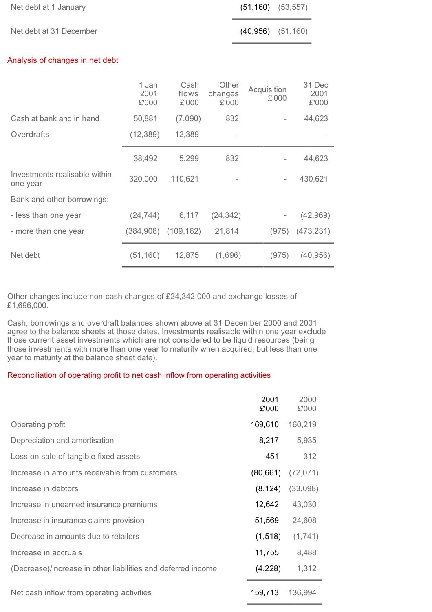| Net debt at 1 January           |                        |                        |                           | (51, 160)   | (53, 557) |                         |
|---------------------------------|------------------------|------------------------|---------------------------|-------------|-----------|-------------------------|
| Net debt at 31 December         |                        |                        |                           | (40, 956)   | (51, 160) |                         |
| Analysis of changes in net debt |                        |                        |                           |             |           |                         |
|                                 | 1 Jan<br>2001<br>£'000 | Cash<br>flows<br>£'000 | Other<br>changes<br>£'000 | Acquisition | £'000     | 31 Dec<br>2001<br>£'000 |
|                                 |                        |                        |                           |             |           |                         |

|                                           | L UUU     | L UUU                   | L UUU     |       | L UUU      |
|-------------------------------------------|-----------|-------------------------|-----------|-------|------------|
| Cash at bank and in hand                  | 50,881    | (7,090)                 | 832       |       | 44,623     |
| Overdrafts                                | (12, 389) | 12,389                  |           |       |            |
|                                           | 38,492    | 5,299                   | 832       |       | 44,623     |
| Investments realisable within<br>one year | 320,000   | 110,621                 |           | -     | 430,621    |
| Bank and other borrowings:                |           |                         |           |       |            |
| - less than one year                      | (24, 744) | 6,117                   | (24, 342) |       | (42,969)   |
| - more than one year                      |           | $(384,908)$ $(109,162)$ | 21,814    | (975) | (473, 231) |
| Net debt                                  | (51, 160) | 12,875                  | (1,696)   | (975) | (40, 956)  |

Other changes include non-cash changes of £24,342,000 and exchange losses of £1,696,000.

Cash, borrowings and overdraft balances shown above at 31 December 2000 and 2001 agree to the balance sheets at those dates. Investments realisable within one year exclude those current asset investments which are not considered to be liquid resources (being those investments with more than one year to maturity when acquired, but less than one year to maturity at the balance sheet date).

## Reconciliation of operating profit to net cash inflow from operating activities

|                                                              | 2001<br>£'000 | 2000<br>£'000 |
|--------------------------------------------------------------|---------------|---------------|
| Operating profit                                             | 169,610       | 160,219       |
| Depreciation and amortisation                                | 8,217         | 5,935         |
| Loss on sale of tangible fixed assets                        | 451           | 312           |
| Increase in amounts receivable from customers                | (80, 661)     | (72, 071)     |
| Increase in debtors                                          | (8, 124)      | (33,098)      |
| Increase in unearned insurance premiums                      | 12,642        | 43,030        |
| Increase in insurance claims provision                       | 51,569        | 24,608        |
| Decrease in amounts due to retailers                         | (1,518)       | (1,741)       |
| Increase in accruals                                         | 11,755        | 8,488         |
| (Decrease)/increase in other liabilities and deferred income | (4,228)       | 1,312         |
| Net cash inflow from operating activities                    | 159,713       | 136,994       |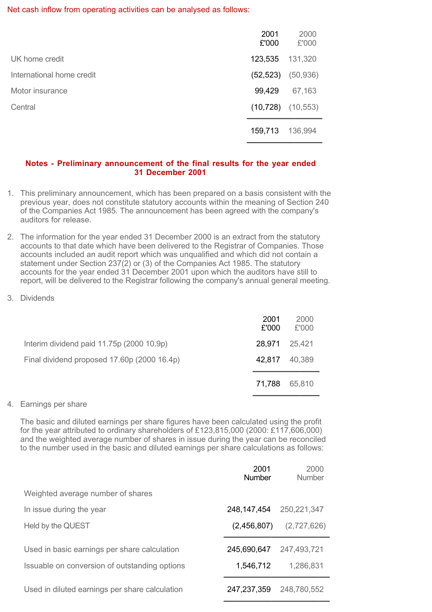#### Net cash inflow from operating activities can be analysed as follows:

|                           | 2001<br>£'000 | 2000<br>£'000 |
|---------------------------|---------------|---------------|
| UK home credit            | 123,535       | 131,320       |
| International home credit | (52, 523)     | (50, 936)     |
| Motor insurance           | 99,429        | 67,163        |
| Central                   | (10, 728)     | (10, 553)     |
|                           | 159,713       | 136,994       |

## **Notes - Preliminary announcement of the final results for the year ended 31 December 2001**

- 1. This preliminary announcement, which has been prepared on a basis consistent with the previous year, does not constitute statutory accounts within the meaning of Section 240 of the Companies Act 1985. The announcement has been agreed with the company's auditors for release.
- 2. The information for the year ended 31 December 2000 is an extract from the statutory accounts to that date which have been delivered to the Registrar of Companies. Those accounts included an audit report which was unqualified and which did not contain a statement under Section 237(2) or (3) of the Companies Act 1985. The statutory accounts for the year ended 31 December 2001 upon which the auditors have still to report, will be delivered to the Registrar following the company's annual general meeting.
- 3. Dividends

|                                             | 2001<br>£'000 | 2000<br>£'000 |
|---------------------------------------------|---------------|---------------|
| Interim dividend paid 11.75p (2000 10.9p)   | 28,971        | 25,421        |
| Final dividend proposed 17.60p (2000 16.4p) | 42.817        | 40,389        |
|                                             | 71,788        | 65,810        |

## 4. Earnings per share

The basic and diluted earnings per share figures have been calculated using the profit for the year attributed to ordinary shareholders of £123,815,000 (2000: £117,606,000) and the weighted average number of shares in issue during the year can be reconciled to the number used in the basic and diluted earnings per share calculations as follows:

|                                                | 2001<br><b>Number</b> | 2000<br>Number |
|------------------------------------------------|-----------------------|----------------|
| Weighted average number of shares              |                       |                |
| In issue during the year                       | 248,147,454           | 250,221,347    |
| Held by the QUEST                              | (2,456,807)           | (2,727,626)    |
| Used in basic earnings per share calculation   | 245,690,647           | 247,493,721    |
| Issuable on conversion of outstanding options  | 1,546,712             | 1,286,831      |
| Used in diluted earnings per share calculation | 247,237,359           | 248,780,552    |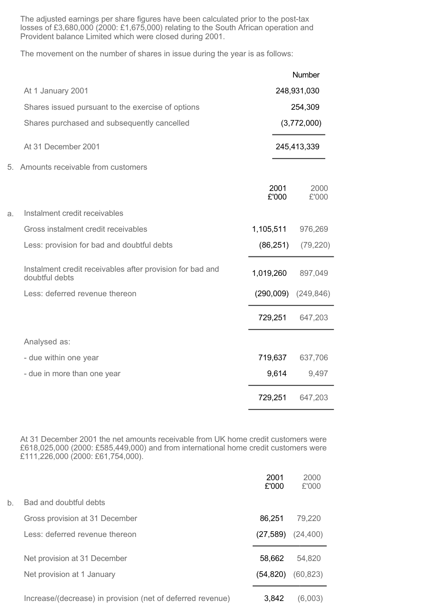The adjusted earnings per share figures have been calculated prior to the post-tax losses of £3,680,000 (2000: £1,675,000) relating to the South African operation and Provident balance Limited which were closed during 2001.

The movement on the number of shares in issue during the year is as follows:

|                                                                             |               | Number        |
|-----------------------------------------------------------------------------|---------------|---------------|
| At 1 January 2001                                                           |               | 248,931,030   |
| Shares issued pursuant to the exercise of options                           |               | 254,309       |
| Shares purchased and subsequently cancelled                                 |               | (3,772,000)   |
| At 31 December 2001                                                         |               | 245,413,339   |
| 5.<br>Amounts receivable from customers                                     |               |               |
|                                                                             | 2001<br>£'000 | 2000<br>£'000 |
| Instalment credit receivables<br>a.                                         |               |               |
| Gross instalment credit receivables                                         | 1,105,511     | 976,269       |
| Less: provision for bad and doubtful debts                                  | (86, 251)     | (79, 220)     |
| Instalment credit receivables after provision for bad and<br>doubtful debts | 1,019,260     | 897,049       |
| Less: deferred revenue thereon                                              | (290,009)     | (249, 846)    |
|                                                                             | 729,251       | 647,203       |
| Analysed as:                                                                |               |               |
| - due within one year                                                       | 719,637       | 637,706       |
| - due in more than one year                                                 | 9,614         | 9,497         |
|                                                                             | 729,251       | 647,203       |

a.

At 31 December 2001 the net amounts receivable from UK home credit customers were £618,025,000 (2000: £585,449,000) and from international home credit customers were £111,226,000 (2000: £61,754,000).

|    |                                                            | 2001<br>£'000 | 2000<br>£'000 |
|----|------------------------------------------------------------|---------------|---------------|
| b. | Bad and doubtful debts                                     |               |               |
|    | Gross provision at 31 December                             | 86,251        | 79,220        |
|    | Less: deferred revenue thereon                             | (27, 589)     | (24, 400)     |
|    | Net provision at 31 December                               | 58,662        | 54,820        |
|    | Net provision at 1 January                                 | (54, 820)     | (60, 823)     |
|    | Increase/(decrease) in provision (net of deferred revenue) | 3,842         | (6,003)       |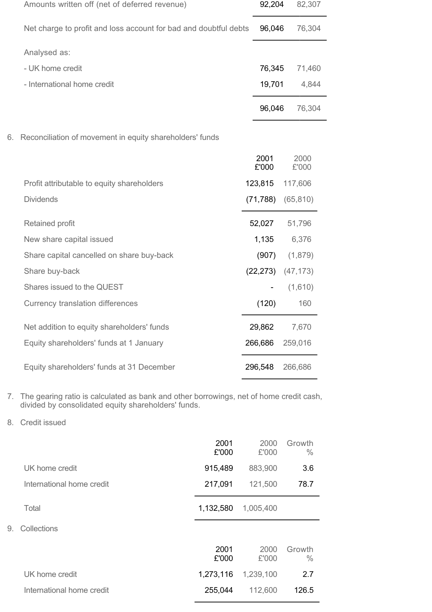|    | Amounts written off (net of deferred revenue)                    | 92,204        | 82,307        |
|----|------------------------------------------------------------------|---------------|---------------|
|    | Net charge to profit and loss account for bad and doubtful debts | 96,046        | 76,304        |
|    | Analysed as:                                                     |               |               |
|    | - UK home credit                                                 | 76,345        | 71,460        |
|    | - International home credit                                      | 19,701        | 4,844         |
|    |                                                                  | 96,046        | 76,304        |
| 6. | Reconciliation of movement in equity shareholders' funds         |               |               |
|    |                                                                  | 2001<br>£'000 | 2000<br>£'000 |
|    | Profit attributable to equity shareholders                       | 123,815       | 117,606       |
|    | <b>Dividends</b>                                                 | (71, 788)     | (65, 810)     |
|    | Retained profit                                                  | 52,027        | 51,796        |
|    | New share capital issued                                         | 1,135         | 6,376         |
|    | Share capital cancelled on share buy-back                        | (907)         | (1,879)       |
|    | Share buy-back                                                   | (22, 273)     | (47, 173)     |
|    | Shares issued to the QUEST                                       |               | (1,610)       |
|    | Currency translation differences                                 | (120)         | 160           |
|    | Net addition to equity shareholders' funds                       | 29,862        | 7,670         |
|    | Equity shareholders' funds at 1 January                          | 266,686       | 259,016       |
|    | Equity shareholders' funds at 31 December                        | 296,548       | 266,686       |
|    |                                                                  |               |               |

- 7. The gearing ratio is calculated as bank and other borrowings, net of home credit cash, divided by consolidated equity shareholders' funds.
- 8. Credit issued

 $9.$ 

|                           | 2001<br>£'000 | 2000<br>£'000 | Growth<br>$\frac{0}{0}$ |
|---------------------------|---------------|---------------|-------------------------|
| UK home credit            | 915,489       | 883,900       | 3.6                     |
| International home credit | 217,091       | 121,500       | 78.7                    |
| Total                     | 1,132,580     | 1,005,400     |                         |
| Collections               |               |               |                         |
|                           | 2001<br>£'000 | 2000<br>£'000 | Growth<br>$\frac{0}{0}$ |
| UK home credit            | 1,273,116     | 1,239,100     | 2.7                     |
| International home credit | 255,044       | 112,600       | 126.5                   |